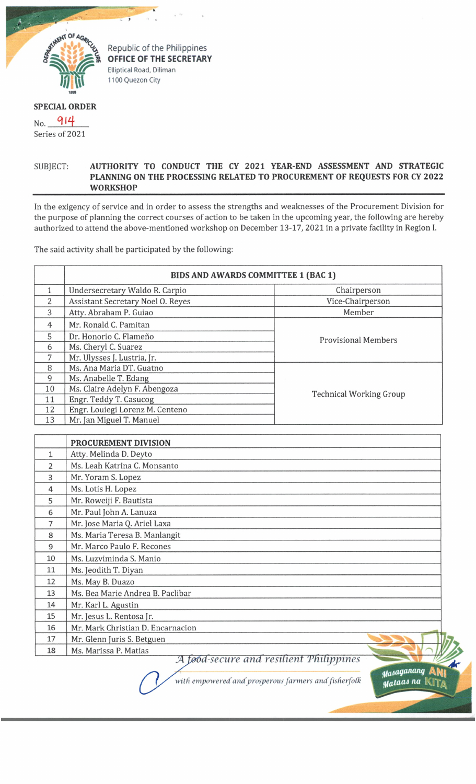

Republic of the Philippines OFFICE OF THE SECRETARY Elliptical Road, Diliman 1100 Quezon City

## **SPECIAL ORDER**

 $N_{0}$   $914$ Series of 2021

## SUBJECT. **AUTHORITY TO CONDUCT THE CY 2021 YEAR-END ASSESSMENT AND STRATEGIC PLANNING ON THE PROCESSING RELATED TO PROCUREMENT OF REQUESTS FOR CY 2022 WORKSHOP**

In the exigency of service and in order to assess the strengths and weaknesses of the Procurement Division for the purpose of planning the correct courses of action to be taken in the upcoming year, the following are hereby authorized to attend the above-mentioned workshop on December 13-17, 2021 in a private facility in Region I.

The said activity shall be participated by the following:

|                | <b>BIDS AND AWARDS COMMITTEE 1 (BAC 1)</b> |                                |
|----------------|--------------------------------------------|--------------------------------|
|                | Undersecretary Waldo R. Carpio             | Chairperson                    |
| 2              | <b>Assistant Secretary Noel O. Reyes</b>   | Vice-Chairperson               |
| 3              | Atty. Abraham P. Guiao                     | Member                         |
| $\overline{4}$ | Mr. Ronald C. Pamitan                      | <b>Provisional Members</b>     |
| 5              | Dr. Honorio C. Flameño                     |                                |
| 6              | Ms. Cheryl C. Suarez                       |                                |
| 7              | Mr. Ulysses J. Lustria, Jr.                |                                |
| 8              | Ms. Ana Maria DT. Guatno                   | <b>Technical Working Group</b> |
| 9              | Ms. Anabelle T. Edang                      |                                |
| 10             | Ms. Claire Adelyn F. Abengoza              |                                |
| 11             | Engr. Teddy T. Casucog                     |                                |
| 12             | Engr. Louiegi Lorenz M. Centeno            |                                |
| 13             | Mr. Jan Miguel T. Manuel                   |                                |

|       | PROCUREMENT DIVISION                    |  |
|-------|-----------------------------------------|--|
| $1\,$ | Atty. Melinda D. Deyto                  |  |
| 2     | Ms. Leah Katrina C. Monsanto            |  |
| 3     | Mr. Yoram S. Lopez                      |  |
| 4     | Ms. Lotis H. Lopez                      |  |
| 5     | Mr. Roweiji F. Bautista                 |  |
| 6     | Mr. Paul John A. Lanuza                 |  |
| 7     | Mr. Jose Maria Q. Ariel Laxa            |  |
| 8     | Ms. Maria Teresa B. Manlangit           |  |
| 9     | Mr. Marco Paulo F. Recones              |  |
| 10    | Ms. Luzviminda S. Manio                 |  |
| 11    | Ms. Jeodith T. Diyan                    |  |
| 12    | Ms. May B. Duazo                        |  |
| 13    | Ms. Bea Marie Andrea B. Paclibar        |  |
| 14    | Mr. Karl L. Agustin                     |  |
| 15    | Mr. Jesus L. Rentosa Jr.                |  |
| 16    | Mr. Mark Christian D. Encarnacion       |  |
| 17    | Mr. Glenn Juris S. Betguen              |  |
| 18    | Ms. Marissa P. Matias                   |  |
|       | A food-secure and resilient Philippines |  |

with empowered and prosperous farmers and fisherfolk

Masaganang Mataas na